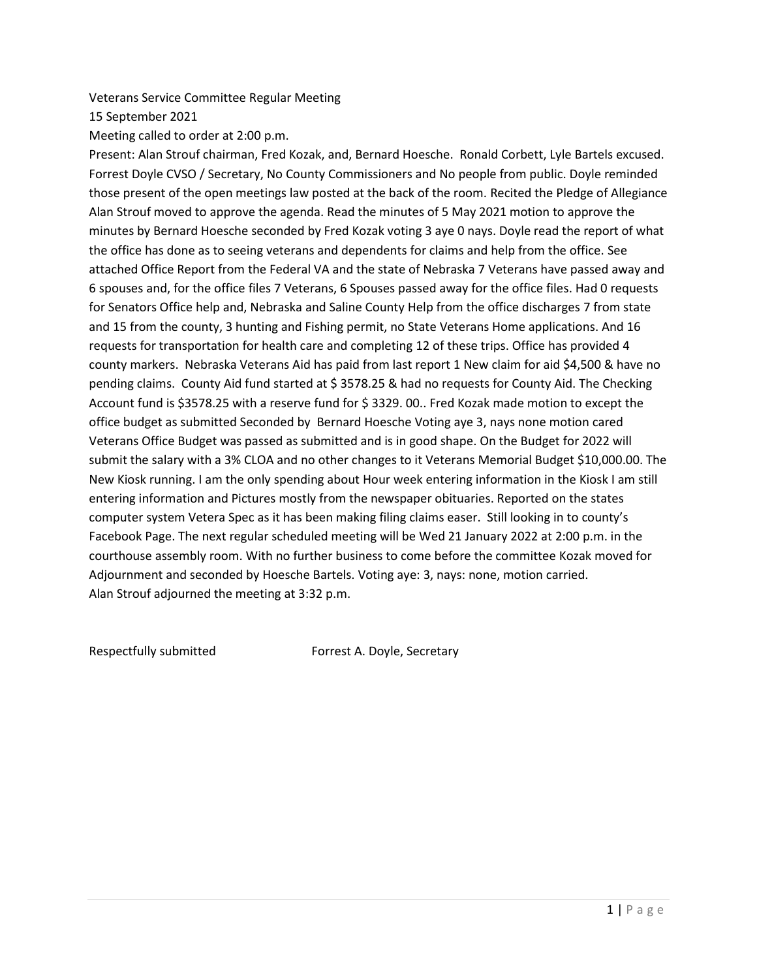Veterans Service Committee Regular Meeting

15 September 2021

Meeting called to order at 2:00 p.m.

Present: Alan Strouf chairman, Fred Kozak, and, Bernard Hoesche. Ronald Corbett, Lyle Bartels excused. Forrest Doyle CVSO / Secretary, No County Commissioners and No people from public. Doyle reminded those present of the open meetings law posted at the back of the room. Recited the Pledge of Allegiance Alan Strouf moved to approve the agenda. Read the minutes of 5 May 2021 motion to approve the minutes by Bernard Hoesche seconded by Fred Kozak voting 3 aye 0 nays. Doyle read the report of what the office has done as to seeing veterans and dependents for claims and help from the office. See attached Office Report from the Federal VA and the state of Nebraska 7 Veterans have passed away and 6 spouses and, for the office files 7 Veterans, 6 Spouses passed away for the office files. Had 0 requests for Senators Office help and, Nebraska and Saline County Help from the office discharges 7 from state and 15 from the county, 3 hunting and Fishing permit, no State Veterans Home applications. And 16 requests for transportation for health care and completing 12 of these trips. Office has provided 4 county markers. Nebraska Veterans Aid has paid from last report 1 New claim for aid \$4,500 & have no pending claims. County Aid fund started at \$ 3578.25 & had no requests for County Aid. The Checking Account fund is \$3578.25 with a reserve fund for \$ 3329. 00.. Fred Kozak made motion to except the office budget as submitted Seconded by Bernard Hoesche Voting aye 3, nays none motion cared Veterans Office Budget was passed as submitted and is in good shape. On the Budget for 2022 will submit the salary with a 3% CLOA and no other changes to it Veterans Memorial Budget \$10,000.00. The New Kiosk running. I am the only spending about Hour week entering information in the Kiosk I am still entering information and Pictures mostly from the newspaper obituaries. Reported on the states computer system Vetera Spec as it has been making filing claims easer. Still looking in to county's Facebook Page. The next regular scheduled meeting will be Wed 21 January 2022 at 2:00 p.m. in the courthouse assembly room. With no further business to come before the committee Kozak moved for Adjournment and seconded by Hoesche Bartels. Voting aye: 3, nays: none, motion carried. Alan Strouf adjourned the meeting at 3:32 p.m.

Respectfully submitted Forrest A. Doyle, Secretary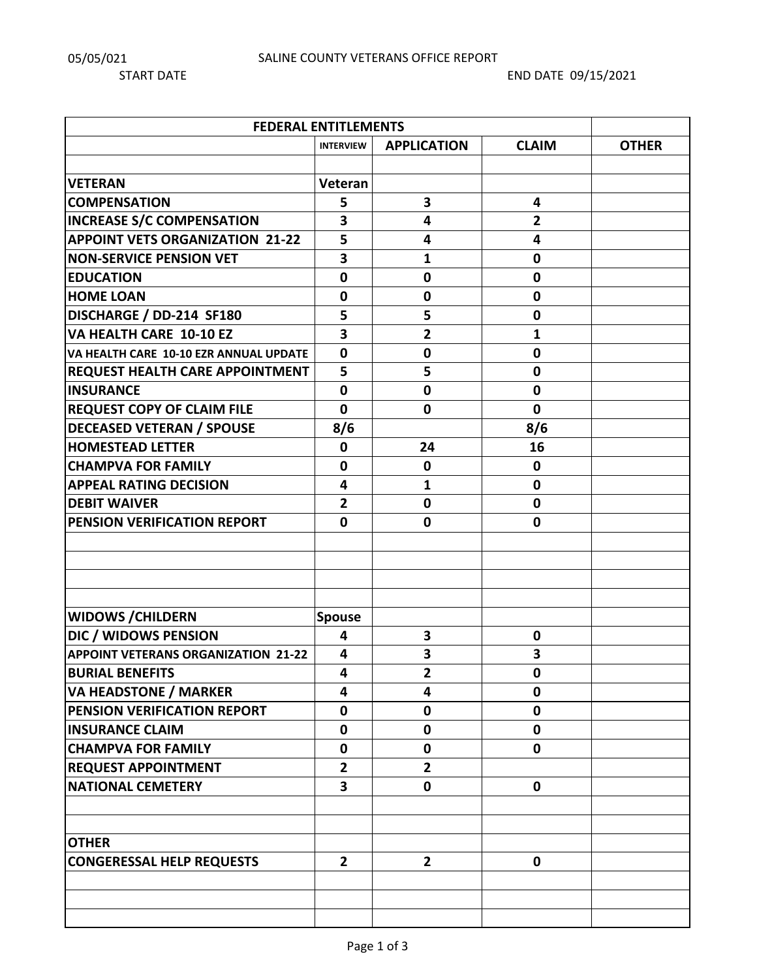| <b>FEDERAL ENTITLEMENTS</b>                |                         |                    |                |              |  |  |  |
|--------------------------------------------|-------------------------|--------------------|----------------|--------------|--|--|--|
|                                            | <b>INTERVIEW</b>        | <b>APPLICATION</b> | <b>CLAIM</b>   | <b>OTHER</b> |  |  |  |
|                                            |                         |                    |                |              |  |  |  |
| <b>VETERAN</b>                             | Veteran                 |                    |                |              |  |  |  |
| <b>COMPENSATION</b>                        | 5                       | 3                  | 4              |              |  |  |  |
| <b>INCREASE S/C COMPENSATION</b>           | 3                       | 4                  | $\overline{2}$ |              |  |  |  |
| <b>APPOINT VETS ORGANIZATION 21-22</b>     | 5                       | 4                  | 4              |              |  |  |  |
| <b>NON-SERVICE PENSION VET</b>             | 3                       | 1                  | $\mathbf 0$    |              |  |  |  |
| <b>EDUCATION</b>                           | $\bf{0}$                | $\mathbf 0$        | $\mathbf 0$    |              |  |  |  |
| <b>HOME LOAN</b>                           | $\bf{0}$                | $\mathbf 0$        | $\pmb{0}$      |              |  |  |  |
| DISCHARGE / DD-214 SF180                   | 5                       | 5                  | $\mathbf 0$    |              |  |  |  |
| VA HEALTH CARE 10-10 EZ                    | 3                       | $\overline{2}$     | 1              |              |  |  |  |
| VA HEALTH CARE 10-10 EZR ANNUAL UPDATE     | $\mathbf 0$             | $\mathbf 0$        | $\mathbf 0$    |              |  |  |  |
| REQUEST HEALTH CARE APPOINTMENT            | 5                       | 5                  | $\mathbf 0$    |              |  |  |  |
| <b>INSURANCE</b>                           | $\mathbf 0$             | $\mathbf 0$        | $\mathbf 0$    |              |  |  |  |
| <b>REQUEST COPY OF CLAIM FILE</b>          | $\mathbf 0$             | $\mathbf 0$        | $\mathbf 0$    |              |  |  |  |
| <b>DECEASED VETERAN / SPOUSE</b>           | 8/6                     |                    | 8/6            |              |  |  |  |
| <b>HOMESTEAD LETTER</b>                    | $\mathbf 0$             | 24                 | 16             |              |  |  |  |
| <b>CHAMPVA FOR FAMILY</b>                  | $\mathbf 0$             | $\mathbf 0$        | $\mathbf 0$    |              |  |  |  |
| <b>APPEAL RATING DECISION</b>              | 4                       | 1                  | $\mathbf 0$    |              |  |  |  |
| <b>DEBIT WAIVER</b>                        | $\overline{\mathbf{2}}$ | $\mathbf 0$        | $\mathbf 0$    |              |  |  |  |
| PENSION VERIFICATION REPORT                | 0                       | $\mathbf 0$        | $\mathbf 0$    |              |  |  |  |
|                                            |                         |                    |                |              |  |  |  |
|                                            |                         |                    |                |              |  |  |  |
|                                            |                         |                    |                |              |  |  |  |
|                                            |                         |                    |                |              |  |  |  |
| <b>WIDOWS / CHILDERN</b>                   | <b>Spouse</b>           |                    |                |              |  |  |  |
| DIC / WIDOWS PENSION                       | $\overline{\mathbf{4}}$ | 3                  | $\mathbf 0$    |              |  |  |  |
| <b>APPOINT VETERANS ORGANIZATION 21-22</b> | 4                       | 3                  | 3              |              |  |  |  |
| <b>BURIAL BENEFITS</b>                     | 4                       | $\mathbf{2}$       | $\pmb{0}$      |              |  |  |  |
| <b>VA HEADSTONE / MARKER</b>               | 4                       | 4                  | $\mathbf 0$    |              |  |  |  |
| PENSION VERIFICATION REPORT                | $\mathbf 0$             | $\mathbf 0$        | $\mathbf 0$    |              |  |  |  |
| <b>INSURANCE CLAIM</b>                     | $\mathbf 0$             | $\mathbf 0$        | $\mathbf 0$    |              |  |  |  |
| <b>CHAMPVA FOR FAMILY</b>                  | $\mathbf 0$             | $\mathbf 0$        | $\mathbf 0$    |              |  |  |  |
| <b>REQUEST APPOINTMENT</b>                 | $\mathbf{2}$            | $\mathbf{2}$       |                |              |  |  |  |
| <b>NATIONAL CEMETERY</b>                   | 3                       | $\mathbf 0$        | $\mathbf 0$    |              |  |  |  |
|                                            |                         |                    |                |              |  |  |  |
|                                            |                         |                    |                |              |  |  |  |
| <b>OTHER</b>                               |                         |                    |                |              |  |  |  |
| <b>CONGERESSAL HELP REQUESTS</b>           | $2^{\circ}$             | $\overline{2}$     | $\mathbf 0$    |              |  |  |  |
|                                            |                         |                    |                |              |  |  |  |
|                                            |                         |                    |                |              |  |  |  |
|                                            |                         |                    |                |              |  |  |  |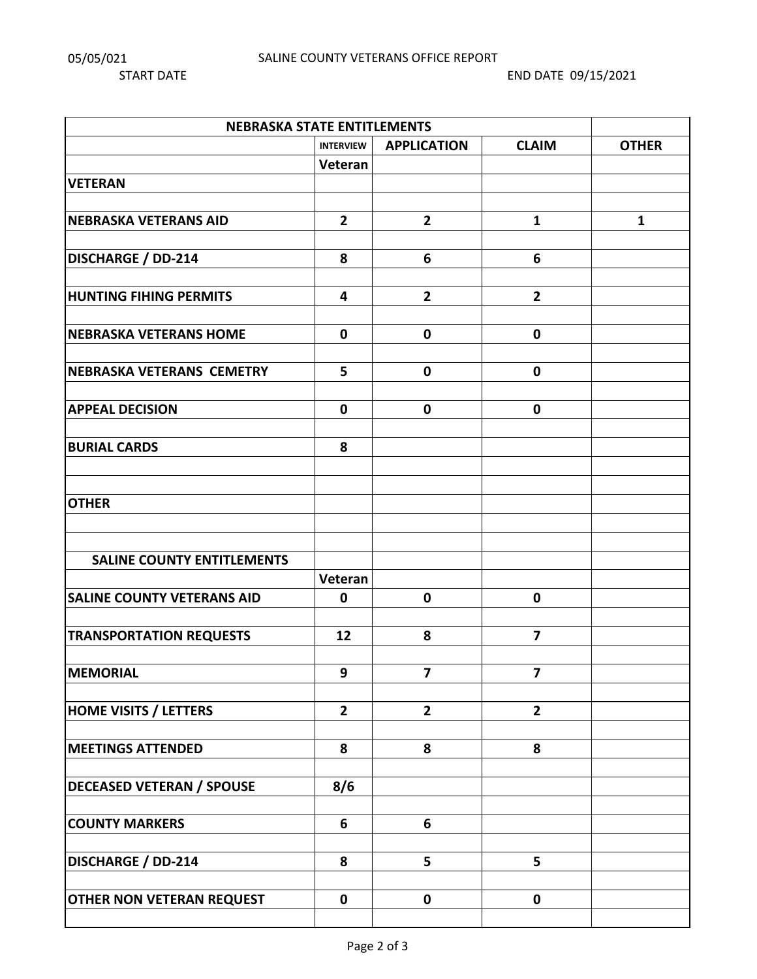START DATE START DATE OF THE START DATE OF THE START DATE OF THE START DATE OF THE START OF THE START OF THE START OF THE START OF THE START OF THE START OF THE START OF THE START OF THE START OF THE START OF THE START OF

| <b>NEBRASKA STATE ENTITLEMENTS</b> |                  |                         |                         |              |  |  |  |
|------------------------------------|------------------|-------------------------|-------------------------|--------------|--|--|--|
|                                    | <b>INTERVIEW</b> | <b>APPLICATION</b>      | <b>CLAIM</b>            | <b>OTHER</b> |  |  |  |
|                                    | Veteran          |                         |                         |              |  |  |  |
| <b>VETERAN</b>                     |                  |                         |                         |              |  |  |  |
|                                    |                  |                         |                         |              |  |  |  |
| <b>NEBRASKA VETERANS AID</b>       | $\overline{2}$   | $\overline{2}$          | $\mathbf{1}$            | $\mathbf{1}$ |  |  |  |
|                                    |                  |                         |                         |              |  |  |  |
| <b>DISCHARGE / DD-214</b>          | 8                | 6                       | 6                       |              |  |  |  |
|                                    |                  |                         |                         |              |  |  |  |
| <b>HUNTING FIHING PERMITS</b>      | 4                | $\overline{2}$          | $\overline{2}$          |              |  |  |  |
|                                    |                  |                         |                         |              |  |  |  |
| <b>NEBRASKA VETERANS HOME</b>      | $\mathbf 0$      | $\mathbf 0$             | $\mathbf 0$             |              |  |  |  |
|                                    |                  |                         |                         |              |  |  |  |
| <b>NEBRASKA VETERANS CEMETRY</b>   | 5                | $\mathbf 0$             | $\mathbf 0$             |              |  |  |  |
|                                    |                  |                         |                         |              |  |  |  |
| <b>APPEAL DECISION</b>             | $\mathbf 0$      | $\mathbf 0$             | $\mathbf 0$             |              |  |  |  |
|                                    |                  |                         |                         |              |  |  |  |
| <b>BURIAL CARDS</b>                | 8                |                         |                         |              |  |  |  |
|                                    |                  |                         |                         |              |  |  |  |
|                                    |                  |                         |                         |              |  |  |  |
| <b>OTHER</b>                       |                  |                         |                         |              |  |  |  |
|                                    |                  |                         |                         |              |  |  |  |
|                                    |                  |                         |                         |              |  |  |  |
| <b>SALINE COUNTY ENTITLEMENTS</b>  |                  |                         |                         |              |  |  |  |
|                                    | Veteran          |                         |                         |              |  |  |  |
| <b>SALINE COUNTY VETERANS AID</b>  | $\mathbf 0$      | $\mathbf 0$             | $\mathbf 0$             |              |  |  |  |
|                                    |                  |                         |                         |              |  |  |  |
| <b>TRANSPORTATION REQUESTS</b>     | 12               | 8                       | $\overline{\mathbf{z}}$ |              |  |  |  |
|                                    |                  |                         |                         |              |  |  |  |
| <b>MEMORIAL</b>                    | 9                | $\overline{\mathbf{z}}$ | $\overline{\mathbf{z}}$ |              |  |  |  |
|                                    |                  |                         |                         |              |  |  |  |
| <b>HOME VISITS / LETTERS</b>       | $\overline{2}$   | $\overline{2}$          | $\overline{2}$          |              |  |  |  |
|                                    |                  |                         |                         |              |  |  |  |
| <b>MEETINGS ATTENDED</b>           | 8                | 8                       | 8                       |              |  |  |  |
|                                    |                  |                         |                         |              |  |  |  |
| <b>DECEASED VETERAN / SPOUSE</b>   | 8/6              |                         |                         |              |  |  |  |
|                                    |                  |                         |                         |              |  |  |  |
| <b>COUNTY MARKERS</b>              | $6\phantom{1}$   | 6                       |                         |              |  |  |  |
|                                    |                  |                         |                         |              |  |  |  |
| <b>DISCHARGE / DD-214</b>          | 8                | 5                       | 5                       |              |  |  |  |
|                                    |                  |                         |                         |              |  |  |  |
| <b>OTHER NON VETERAN REQUEST</b>   | $\pmb{0}$        | $\mathbf 0$             | $\mathbf 0$             |              |  |  |  |
|                                    |                  |                         |                         |              |  |  |  |